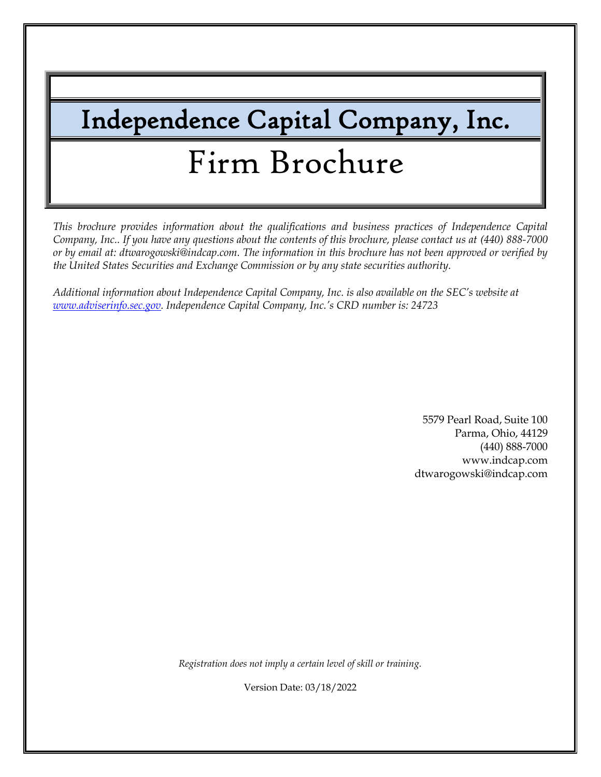# Independence Capital Company, Inc. Firm Brochure

*This brochure provides information about the qualifications and business practices of Independence Capital Company, Inc.. If you have any questions about the contents of this brochure, please contact us at (440) 888-7000 or by email at: dtwarogowski@indcap.com. The information in this brochure has not been approved or verified by the United States Securities and Exchange Commission or by any state securities authority.*

*Additional information about Independence Capital Company, Inc. is also available on the SEC's website at [www.adviserinfo.sec.gov.](http://www.adviserinfo.sec.gov/) Independence Capital Company, Inc.'s CRD number is: 24723*

> 5579 Pearl Road, Suite 100 Parma, Ohio, 44129 (440) 888-7000 www.indcap.com dtwarogowski@indcap.com

*Registration does not imply a certain level of skill or training.*

Version Date: 03/18/2022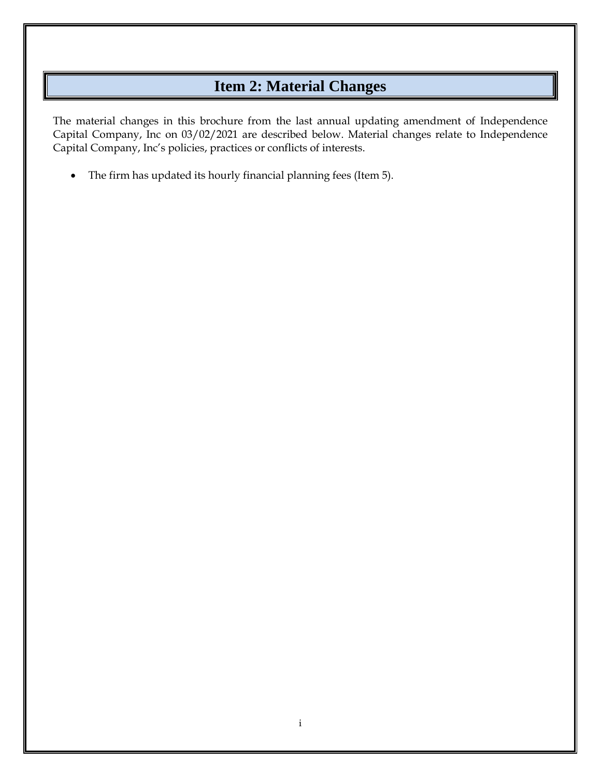# **Item 2: Material Changes**

<span id="page-1-0"></span>The material changes in this brochure from the last annual updating amendment of Independence Capital Company, Inc on 03/02/2021 are described below. Material changes relate to Independence Capital Company, Inc's policies, practices or conflicts of interests.

• The firm has updated its hourly financial planning fees (Item 5).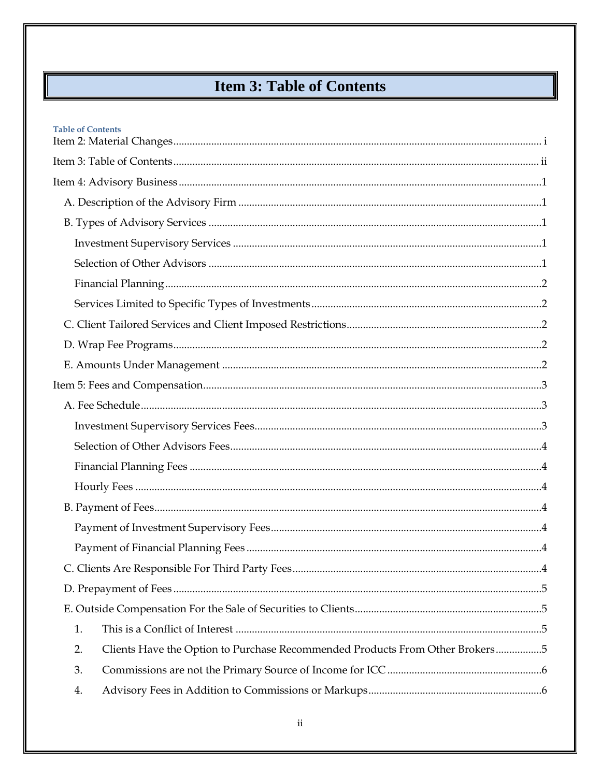# **Item 3: Table of Contents**

<span id="page-2-0"></span>

| <b>Table of Contents</b>                                                           |  |
|------------------------------------------------------------------------------------|--|
|                                                                                    |  |
|                                                                                    |  |
|                                                                                    |  |
|                                                                                    |  |
|                                                                                    |  |
|                                                                                    |  |
|                                                                                    |  |
|                                                                                    |  |
|                                                                                    |  |
|                                                                                    |  |
|                                                                                    |  |
|                                                                                    |  |
|                                                                                    |  |
|                                                                                    |  |
|                                                                                    |  |
|                                                                                    |  |
|                                                                                    |  |
|                                                                                    |  |
|                                                                                    |  |
|                                                                                    |  |
|                                                                                    |  |
|                                                                                    |  |
|                                                                                    |  |
| 1.                                                                                 |  |
| Clients Have the Option to Purchase Recommended Products From Other Brokers5<br>2. |  |
| 3.                                                                                 |  |
| 4.                                                                                 |  |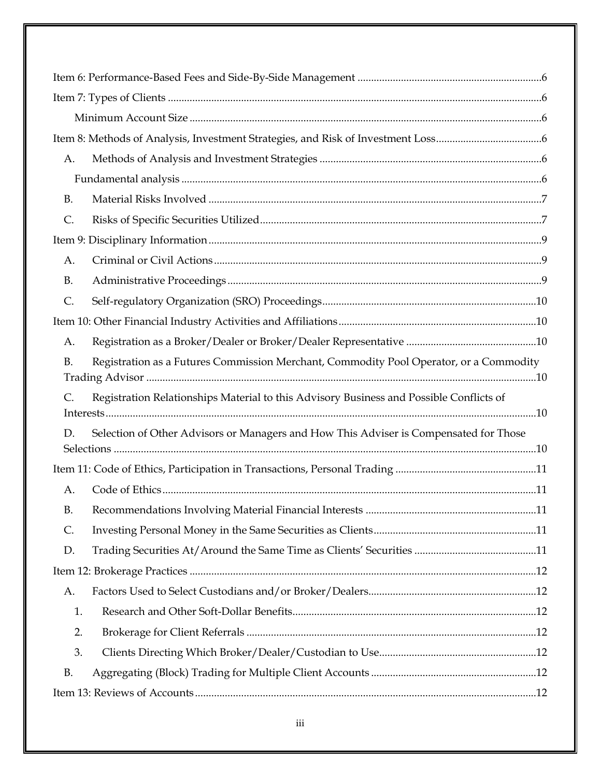| A.             |                                                                                         |  |  |
|----------------|-----------------------------------------------------------------------------------------|--|--|
|                |                                                                                         |  |  |
| <b>B.</b>      |                                                                                         |  |  |
| $\mathsf{C}$ . |                                                                                         |  |  |
|                |                                                                                         |  |  |
| A.             |                                                                                         |  |  |
| <b>B.</b>      |                                                                                         |  |  |
| $\mathsf{C}$ . |                                                                                         |  |  |
|                |                                                                                         |  |  |
| A.             |                                                                                         |  |  |
| <b>B.</b>      | Registration as a Futures Commission Merchant, Commodity Pool Operator, or a Commodity  |  |  |
|                |                                                                                         |  |  |
| $\mathsf{C}$ . | Registration Relationships Material to this Advisory Business and Possible Conflicts of |  |  |
| D.             | Selection of Other Advisors or Managers and How This Adviser is Compensated for Those   |  |  |
|                |                                                                                         |  |  |
| A.             |                                                                                         |  |  |
| <b>B.</b>      |                                                                                         |  |  |
| C.             |                                                                                         |  |  |
| D.             |                                                                                         |  |  |
|                |                                                                                         |  |  |
| A.             |                                                                                         |  |  |
| 1.             |                                                                                         |  |  |
| 2.             |                                                                                         |  |  |
| 3.             |                                                                                         |  |  |
| <b>B.</b>      |                                                                                         |  |  |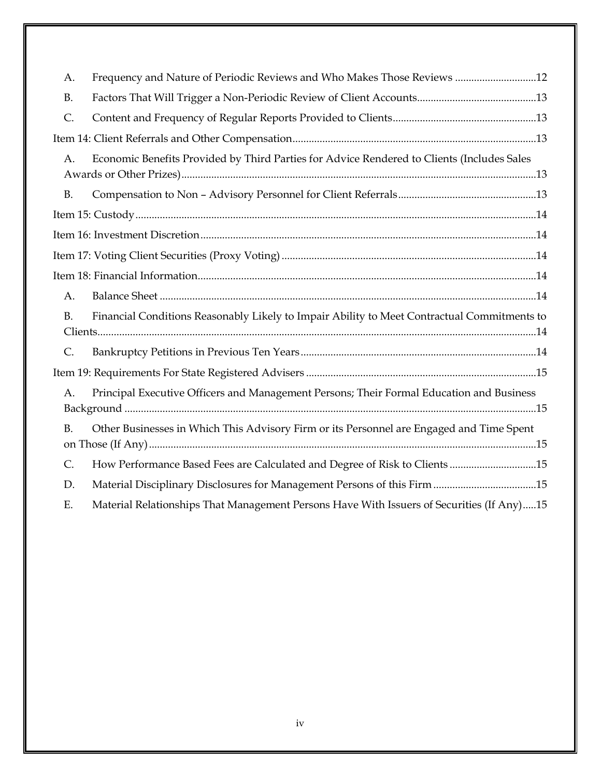| A.             | Frequency and Nature of Periodic Reviews and Who Makes Those Reviews 12                     |
|----------------|---------------------------------------------------------------------------------------------|
| <b>B.</b>      |                                                                                             |
| $\mathsf{C}$ . |                                                                                             |
|                |                                                                                             |
| A.             | Economic Benefits Provided by Third Parties for Advice Rendered to Clients (Includes Sales  |
| <b>B.</b>      |                                                                                             |
|                |                                                                                             |
|                |                                                                                             |
|                |                                                                                             |
|                |                                                                                             |
| A.             |                                                                                             |
| <b>B.</b>      | Financial Conditions Reasonably Likely to Impair Ability to Meet Contractual Commitments to |
| $\mathsf{C}$ . |                                                                                             |
|                |                                                                                             |
| A.             | Principal Executive Officers and Management Persons; Their Formal Education and Business    |
| <b>B.</b>      | Other Businesses in Which This Advisory Firm or its Personnel are Engaged and Time Spent    |
| $\mathsf{C}$ . | How Performance Based Fees are Calculated and Degree of Risk to Clients 15                  |
| D.             | Material Disciplinary Disclosures for Management Persons of this Firm 15                    |
| Ε.             | Material Relationships That Management Persons Have With Issuers of Securities (If Any)15   |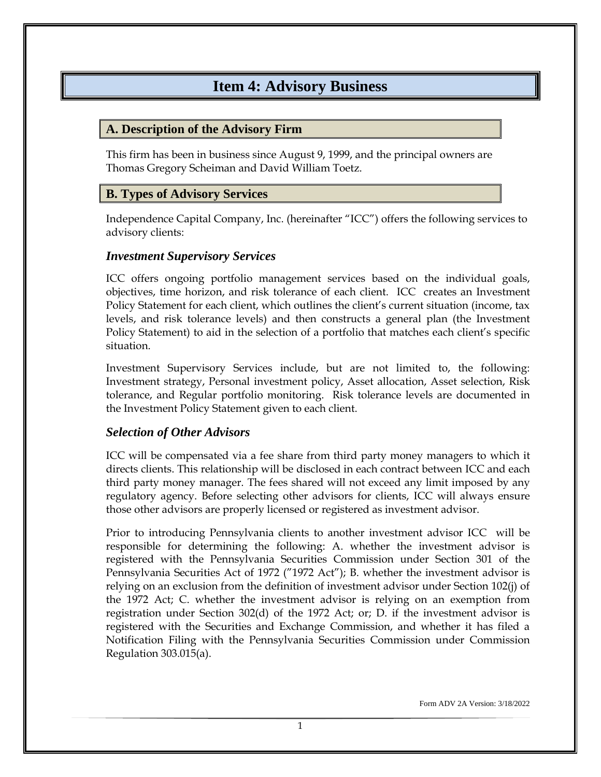## **Item 4: Advisory Business**

#### <span id="page-5-1"></span><span id="page-5-0"></span>**A. Description of the Advisory Firm**

This firm has been in business since August 9, 1999, and the principal owners are Thomas Gregory Scheiman and David William Toetz.

#### <span id="page-5-2"></span>**B. Types of Advisory Services**

Independence Capital Company, Inc. (hereinafter "ICC") offers the following services to advisory clients:

#### <span id="page-5-3"></span>*Investment Supervisory Services*

ICC offers ongoing portfolio management services based on the individual goals, objectives, time horizon, and risk tolerance of each client. ICC creates an Investment Policy Statement for each client, which outlines the client's current situation (income, tax levels, and risk tolerance levels) and then constructs a general plan (the Investment Policy Statement) to aid in the selection of a portfolio that matches each client's specific situation.

Investment Supervisory Services include, but are not limited to, the following: Investment strategy, Personal investment policy, Asset allocation, Asset selection, Risk tolerance, and Regular portfolio monitoring. Risk tolerance levels are documented in the Investment Policy Statement given to each client.

#### <span id="page-5-4"></span>*Selection of Other Advisors*

ICC will be compensated via a fee share from third party money managers to which it directs clients. This relationship will be disclosed in each contract between ICC and each third party money manager. The fees shared will not exceed any limit imposed by any regulatory agency. Before selecting other advisors for clients, ICC will always ensure those other advisors are properly licensed or registered as investment advisor.

Prior to introducing Pennsylvania clients to another investment advisor ICC will be responsible for determining the following: A. whether the investment advisor is registered with the Pennsylvania Securities Commission under Section 301 of the Pennsylvania Securities Act of 1972 ("1972 Act"); B. whether the investment advisor is relying on an exclusion from the definition of investment advisor under Section 102(j) of the 1972 Act; C. whether the investment advisor is relying on an exemption from registration under Section 302(d) of the 1972 Act; or; D. if the investment advisor is registered with the Securities and Exchange Commission, and whether it has filed a Notification Filing with the Pennsylvania Securities Commission under Commission Regulation 303.015(a).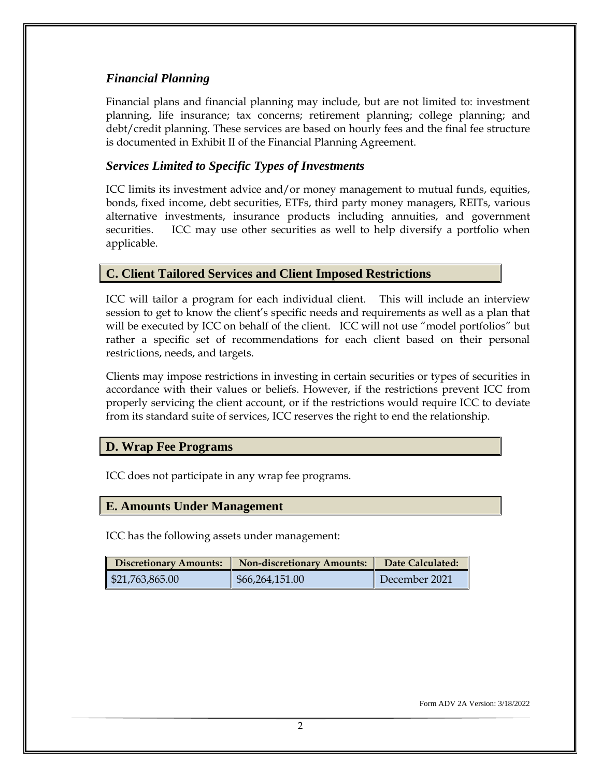#### <span id="page-6-0"></span>*Financial Planning*

Financial plans and financial planning may include, but are not limited to: investment planning, life insurance; tax concerns; retirement planning; college planning; and debt/credit planning. These services are based on hourly fees and the final fee structure is documented in Exhibit II of the Financial Planning Agreement.

#### <span id="page-6-1"></span>*Services Limited to Specific Types of Investments*

ICC limits its investment advice and/or money management to mutual funds, equities, bonds, fixed income, debt securities, ETFs, third party money managers, REITs, various alternative investments, insurance products including annuities, and government securities. ICC may use other securities as well to help diversify a portfolio when applicable.

#### <span id="page-6-2"></span>**C. Client Tailored Services and Client Imposed Restrictions**

ICC will tailor a program for each individual client. This will include an interview session to get to know the client's specific needs and requirements as well as a plan that will be executed by ICC on behalf of the client. ICC will not use "model portfolios" but rather a specific set of recommendations for each client based on their personal restrictions, needs, and targets.

Clients may impose restrictions in investing in certain securities or types of securities in accordance with their values or beliefs. However, if the restrictions prevent ICC from properly servicing the client account, or if the restrictions would require ICC to deviate from its standard suite of services, ICC reserves the right to end the relationship.

#### <span id="page-6-3"></span>**D. Wrap Fee Programs**

ICC does not participate in any wrap fee programs.

#### <span id="page-6-4"></span>**E. Amounts Under Management**

ICC has the following assets under management:

| <b>Discretionary Amounts:</b> | <b>Non-discretionary Amounts:</b> | Date Calculated: |
|-------------------------------|-----------------------------------|------------------|
| \$21,763,865.00               | \$66,264,151.00                   | December 2021    |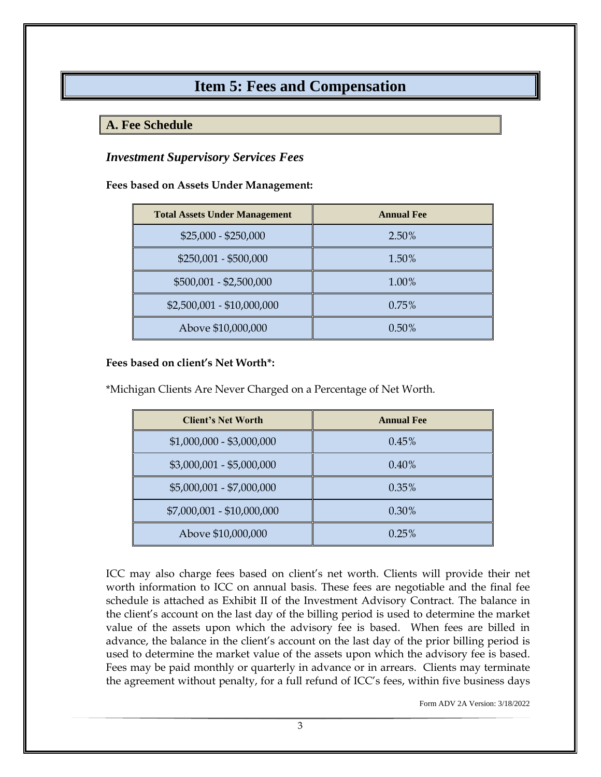## **Item 5: Fees and Compensation**

#### <span id="page-7-1"></span><span id="page-7-0"></span>**A. Fee Schedule**

#### <span id="page-7-2"></span>*Investment Supervisory Services Fees*

**Fees based on Assets Under Management:** 

| <b>Total Assets Under Management</b> | <b>Annual Fee</b> |
|--------------------------------------|-------------------|
| $$25,000 - $250,000$                 | 2.50%             |
| \$250,001 - \$500,000                | 1.50%             |
| \$500,001 - \$2,500,000              | 1.00%             |
| \$2,500,001 - \$10,000,000           | $0.75\%$          |
| Above \$10,000,000                   | $0.50\%$          |

#### **Fees based on client's Net Worth\*:**

\*Michigan Clients Are Never Charged on a Percentage of Net Worth.

| <b>Client's Net Worth</b>  | <b>Annual Fee</b> |  |
|----------------------------|-------------------|--|
| $$1,000,000 - $3,000,000$  | $0.45\%$          |  |
| $$3,000,001 - $5,000,000$  | 0.40%             |  |
| \$5,000,001 - \$7,000,000  | $0.35\%$          |  |
| \$7,000,001 - \$10,000,000 | $0.30\%$          |  |
| Above \$10,000,000         | 0.25%             |  |

ICC may also charge fees based on client's net worth. Clients will provide their net worth information to ICC on annual basis. These fees are negotiable and the final fee schedule is attached as Exhibit II of the Investment Advisory Contract. The balance in the client's account on the last day of the billing period is used to determine the market value of the assets upon which the advisory fee is based. When fees are billed in advance, the balance in the client's account on the last day of the prior billing period is used to determine the market value of the assets upon which the advisory fee is based. Fees may be paid monthly or quarterly in advance or in arrears. Clients may terminate the agreement without penalty, for a full refund of ICC's fees, within five business days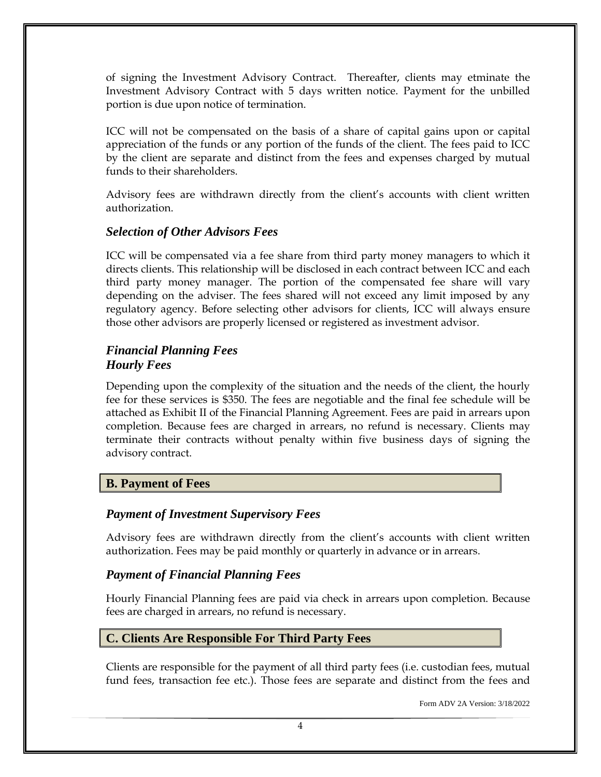of signing the Investment Advisory Contract. Thereafter, clients may etminate the Investment Advisory Contract with 5 days written notice. Payment for the unbilled portion is due upon notice of termination.

ICC will not be compensated on the basis of a share of capital gains upon or capital appreciation of the funds or any portion of the funds of the client. The fees paid to ICC by the client are separate and distinct from the fees and expenses charged by mutual funds to their shareholders.

Advisory fees are withdrawn directly from the client's accounts with client written authorization.

#### <span id="page-8-0"></span>*Selection of Other Advisors Fees*

ICC will be compensated via a fee share from third party money managers to which it directs clients. This relationship will be disclosed in each contract between ICC and each third party money manager. The portion of the compensated fee share will vary depending on the adviser. The fees shared will not exceed any limit imposed by any regulatory agency. Before selecting other advisors for clients, ICC will always ensure those other advisors are properly licensed or registered as investment advisor.

#### <span id="page-8-2"></span><span id="page-8-1"></span>*Financial Planning Fees Hourly Fees*

Depending upon the complexity of the situation and the needs of the client, the hourly fee for these services is \$350. The fees are negotiable and the final fee schedule will be attached as Exhibit II of the Financial Planning Agreement. Fees are paid in arrears upon completion. Because fees are charged in arrears, no refund is necessary. Clients may terminate their contracts without penalty within five business days of signing the advisory contract.

#### <span id="page-8-4"></span><span id="page-8-3"></span>**B. Payment of Fees**

#### *Payment of Investment Supervisory Fees*

Advisory fees are withdrawn directly from the client's accounts with client written authorization. Fees may be paid monthly or quarterly in advance or in arrears.

#### <span id="page-8-5"></span>*Payment of Financial Planning Fees*

Hourly Financial Planning fees are paid via check in arrears upon completion. Because fees are charged in arrears, no refund is necessary.

#### <span id="page-8-6"></span>**C. Clients Are Responsible For Third Party Fees**

Clients are responsible for the payment of all third party fees (i.e. custodian fees, mutual fund fees, transaction fee etc.). Those fees are separate and distinct from the fees and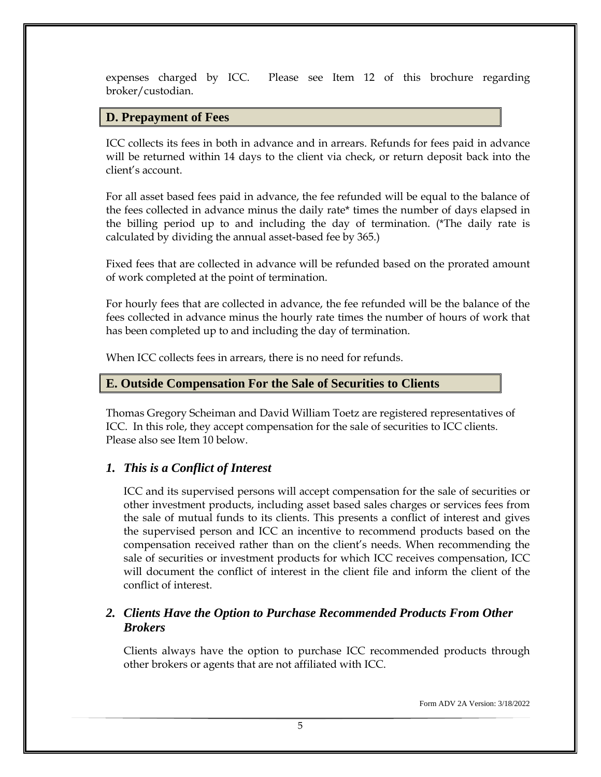expenses charged by ICC. Please see Item 12 of this brochure regarding broker/custodian.

#### <span id="page-9-0"></span>**D. Prepayment of Fees**

ICC collects its fees in both in advance and in arrears. Refunds for fees paid in advance will be returned within 14 days to the client via check, or return deposit back into the client's account.

For all asset based fees paid in advance, the fee refunded will be equal to the balance of the fees collected in advance minus the daily rate\* times the number of days elapsed in the billing period up to and including the day of termination. (\*The daily rate is calculated by dividing the annual asset-based fee by 365.)

Fixed fees that are collected in advance will be refunded based on the prorated amount of work completed at the point of termination.

For hourly fees that are collected in advance, the fee refunded will be the balance of the fees collected in advance minus the hourly rate times the number of hours of work that has been completed up to and including the day of termination.

When ICC collects fees in arrears, there is no need for refunds.

#### <span id="page-9-1"></span>**E. Outside Compensation For the Sale of Securities to Clients**

Thomas Gregory Scheiman and David William Toetz are registered representatives of ICC. In this role, they accept compensation for the sale of securities to ICC clients. Please also see Item 10 below.

#### <span id="page-9-2"></span>*1. This is a Conflict of Interest*

ICC and its supervised persons will accept compensation for the sale of securities or other investment products, including asset based sales charges or services fees from the sale of mutual funds to its clients. This presents a conflict of interest and gives the supervised person and ICC an incentive to recommend products based on the compensation received rather than on the client's needs. When recommending the sale of securities or investment products for which ICC receives compensation, ICC will document the conflict of interest in the client file and inform the client of the conflict of interest.

#### <span id="page-9-3"></span>*2. Clients Have the Option to Purchase Recommended Products From Other Brokers*

Clients always have the option to purchase ICC recommended products through other brokers or agents that are not affiliated with ICC.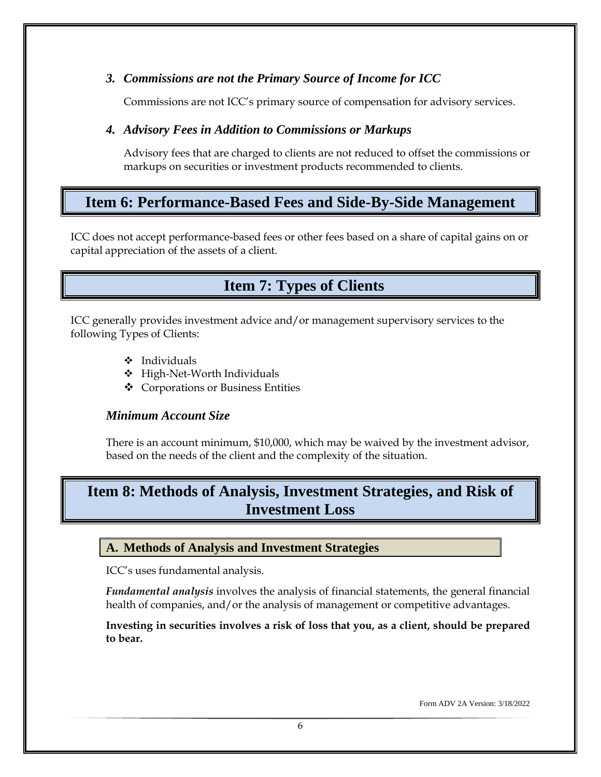#### <span id="page-10-0"></span>*3. Commissions are not the Primary Source of Income for ICC*

Commissions are not ICC's primary source of compensation for advisory services.

#### <span id="page-10-1"></span>*4. Advisory Fees in Addition to Commissions or Markups*

Advisory fees that are charged to clients are not reduced to offset the commissions or markups on securities or investment products recommended to clients.

# <span id="page-10-2"></span>**Item 6: Performance-Based Fees and Side-By-Side Management**

ICC does not accept performance-based fees or other fees based on a share of capital gains on or capital appreciation of the assets of a client.

# <span id="page-10-3"></span> **Item 7: Types of Clients**

ICC generally provides investment advice and/or management supervisory services to the following Types of Clients:

- ❖ Individuals
- ❖ High-Net-Worth Individuals
- ❖ Corporations or Business Entities

#### <span id="page-10-4"></span>*Minimum Account Size*

There is an account minimum, \$10,000, which may be waived by the investment advisor, based on the needs of the client and the complexity of the situation.

# <span id="page-10-5"></span>**Item 8: Methods of Analysis, Investment Strategies, and Risk of Investment Loss**

#### <span id="page-10-6"></span>**A. Methods of Analysis and Investment Strategies**

ICC's uses fundamental analysis.

<span id="page-10-7"></span>*Fundamental analysis* involves the analysis of financial statements, the general financial health of companies, and/or the analysis of management or competitive advantages.

**Investing in securities involves a risk of loss that you, as a client, should be prepared to bear.**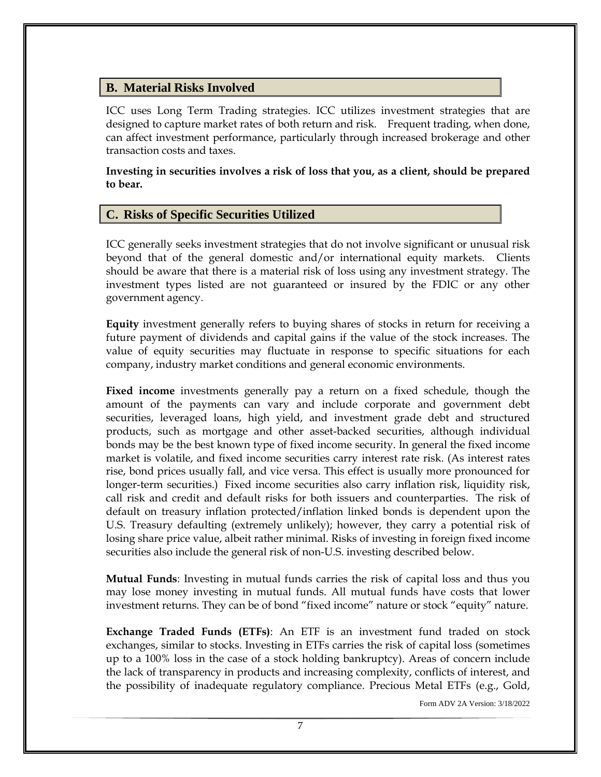#### <span id="page-11-0"></span>**B. Material Risks Involved**

ICC uses Long Term Trading strategies. ICC utilizes investment strategies that are designed to capture market rates of both return and risk. Frequent trading, when done, can affect investment performance, particularly through increased brokerage and other transaction costs and taxes.

**Investing in securities involves a risk of loss that you, as a client, should be prepared to bear.**

#### <span id="page-11-1"></span>**C. Risks of Specific Securities Utilized**

ICC generally seeks investment strategies that do not involve significant or unusual risk beyond that of the general domestic and/or international equity markets. Clients should be aware that there is a material risk of loss using any investment strategy. The investment types listed are not guaranteed or insured by the FDIC or any other government agency.

**Equity** investment generally refers to buying shares of stocks in return for receiving a future payment of dividends and capital gains if the value of the stock increases. The value of equity securities may fluctuate in response to specific situations for each company, industry market conditions and general economic environments.

**Fixed income** investments generally pay a return on a fixed schedule, though the amount of the payments can vary and include corporate and government debt securities, leveraged loans, high yield, and investment grade debt and structured products, such as mortgage and other asset-backed securities, although individual bonds may be the best known type of fixed income security. In general the fixed income market is volatile, and fixed income securities carry interest rate risk. (As interest rates rise, bond prices usually fall, and vice versa. This effect is usually more pronounced for longer-term securities.) Fixed income securities also carry inflation risk, liquidity risk, call risk and credit and default risks for both issuers and counterparties. The risk of default on treasury inflation protected/inflation linked bonds is dependent upon the U.S. Treasury defaulting (extremely unlikely); however, they carry a potential risk of losing share price value, albeit rather minimal. Risks of investing in foreign fixed income securities also include the general risk of non-U.S. investing described below.

**Mutual Funds**: Investing in mutual funds carries the risk of capital loss and thus you may lose money investing in mutual funds. All mutual funds have costs that lower investment returns. They can be of bond "fixed income" nature or stock "equity" nature.

**Exchange Traded Funds (ETFs)**: An ETF is an [investment fund](http://en.wikipedia.org/wiki/Collective_investment_scheme) traded on [stock](http://en.wikipedia.org/wiki/Stock_exchange)  [exchanges,](http://en.wikipedia.org/wiki/Stock_exchange) similar to [stocks.](http://en.wikipedia.org/wiki/Stock) Investing in ETFs carries the risk of capital loss (sometimes up to a 100% loss in the case of a stock holding bankruptcy). Areas of concern include the lack of transparency in products and increasing complexity, conflicts of interest, and the possibility of inadequate regulatory compliance. Precious Metal ETFs (e.g., Gold,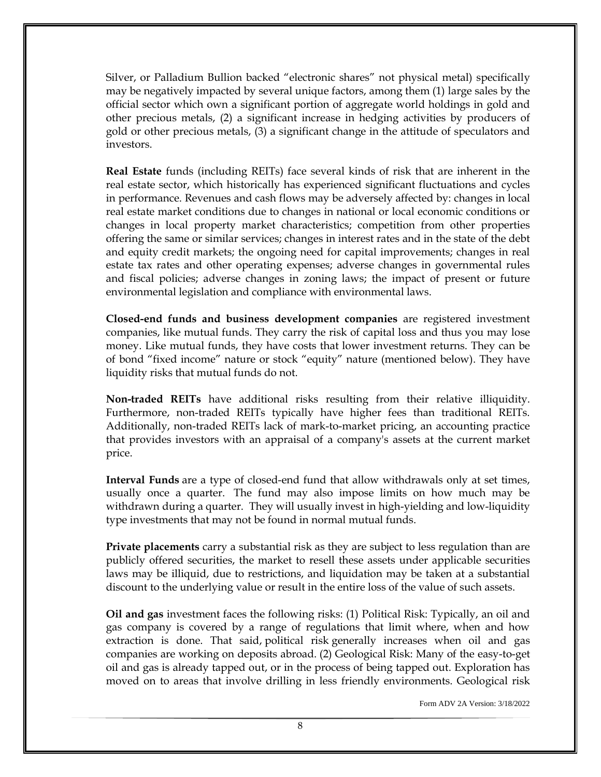Silver, or Palladium Bullion backed "electronic shares" not physical metal) specifically may be negatively impacted by several unique factors, among them (1) large sales by the official sector which own a significant portion of aggregate world holdings in gold and other precious metals, (2) a significant increase in hedging activities by producers of gold or other precious metals, (3) a significant change in the attitude of speculators and investors.

**Real Estate** funds (including REITs) face several kinds of risk that are inherent in the real estate sector, which historically has experienced significant fluctuations and cycles in performance. Revenues and cash flows may be adversely affected by: changes in local real estate market conditions due to changes in national or local economic conditions or changes in local property market characteristics; competition from other properties offering the same or similar services; changes in interest rates and in the state of the debt and equity credit markets; the ongoing need for capital improvements; changes in real estate tax rates and other operating expenses; adverse changes in governmental rules and fiscal policies; adverse changes in zoning laws; the impact of present or future environmental legislation and compliance with environmental laws.

**Closed-end funds and business development companies** are registered investment companies, like mutual funds. They carry the risk of capital loss and thus you may lose money. Like mutual funds, they have costs that lower investment returns. They can be of bond "fixed income" nature or stock "equity" nature (mentioned below). They have liquidity risks that mutual funds do not.

**Non-traded REITs** have additional risks resulting from their relative illiquidity. Furthermore, non-traded REITs typically have higher fees than traditional REITs. Additionally, non-traded REITs lack of mark-to-market pricing, an accounting practice that provides investors with an appraisal of a company's assets at the current market price.

**Interval Funds** are a type of closed-end fund that allow withdrawals only at set times, usually once a quarter. The fund may also impose limits on how much may be withdrawn during a quarter. They will usually invest in high-yielding and low-liquidity type investments that may not be found in normal mutual funds.

**Private placements** carry a substantial risk as they are subject to less regulation than are publicly offered securities, the market to resell these assets under applicable securities laws may be illiquid, due to restrictions, and liquidation may be taken at a substantial discount to the underlying value or result in the entire loss of the value of such assets.

**Oil and gas** investment faces the following risks: (1) Political Risk: Typically, an oil and gas company is covered by a range of regulations that limit where, when and how extraction is done. That said, [political risk](http://www.investopedia.com/terms/p/politicalrisk.asp) generally increases when oil and gas companies are working on deposits abroad. (2) Geological Risk: Many of the easy-to-get oil and gas is already tapped out, or in the process of being tapped out. Exploration has moved on to areas that involve drilling in less friendly environments. Geological risk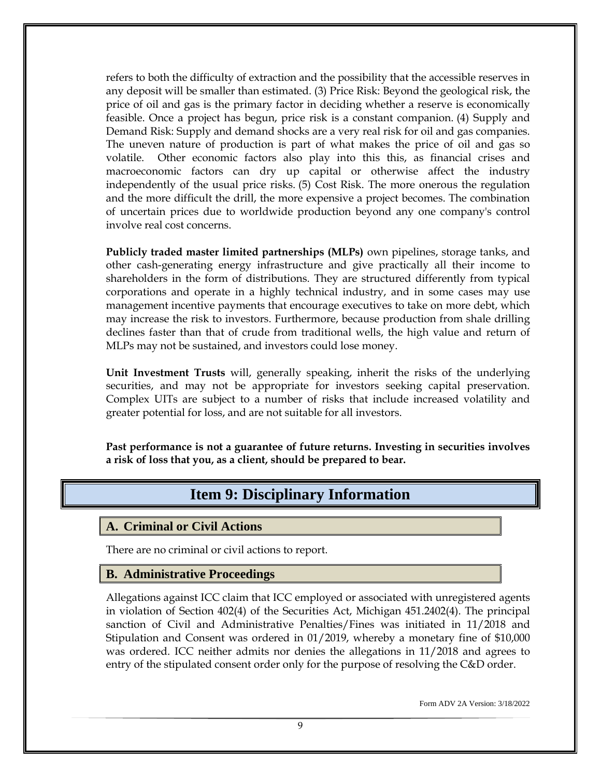refers to both the difficulty of extraction and the possibility that the accessible reserves in any deposit will be smaller than estimated. (3) Price Risk: Beyond the geological risk, the price of oil and gas is the primary factor in deciding whether a reserve is economically feasible. Once a project has begun, price risk is a constant companion. (4) Supply and Demand Risk: [Supply and demand](http://www.investopedia.com/university/economics/economics3.asp) shocks are a very real risk for oil and gas companies. The uneven nature of production is part of what makes the price of oil and gas so volatile. Other economic factors also play into this this, as financial crises and macroeconomic factors can dry up capital or otherwise affect the industry independently of the usual price risks. (5) Cost Risk. The more onerous the regulation and the more difficult the drill, the more expensive a project becomes. The combination of uncertain prices due to worldwide production beyond any one company's control involve real cost concerns.

**Publicly traded master limited partnerships (MLPs)** own pipelines, storage tanks, and other cash-generating energy infrastructure and give practically all their income to shareholders in the form of distributions. They are structured differently from typical corporations and operate in a highly technical industry, and in some cases may use management incentive payments that encourage executives to take on more debt, which may increase the risk to investors. Furthermore, because production from shale drilling declines faster than that of crude from traditional wells, the high value and return of MLPs may not be sustained, and investors could lose money.

**Unit Investment Trusts** will, generally speaking, inherit the risks of the underlying securities, and may not be appropriate for investors seeking capital preservation. Complex UITs are subject to a number of risks that include increased volatility and greater potential for loss, and are not suitable for all investors.

<span id="page-13-0"></span>**Past performance is not a guarantee of future returns. Investing in securities involves a risk of loss that you, as a client, should be prepared to bear.**

## **Item 9: Disciplinary Information**

#### <span id="page-13-1"></span>**A. Criminal or Civil Actions**

There are no criminal or civil actions to report.

#### <span id="page-13-2"></span>**B. Administrative Proceedings**

Allegations against ICC claim that ICC employed or associated with unregistered agents in violation of Section 402(4) of the Securities Act, Michigan 451.2402(4). The principal sanction of Civil and Administrative Penalties/Fines was initiated in 11/2018 and Stipulation and Consent was ordered in 01/2019, whereby a monetary fine of \$10,000 was ordered. ICC neither admits nor denies the allegations in 11/2018 and agrees to entry of the stipulated consent order only for the purpose of resolving the C&D order.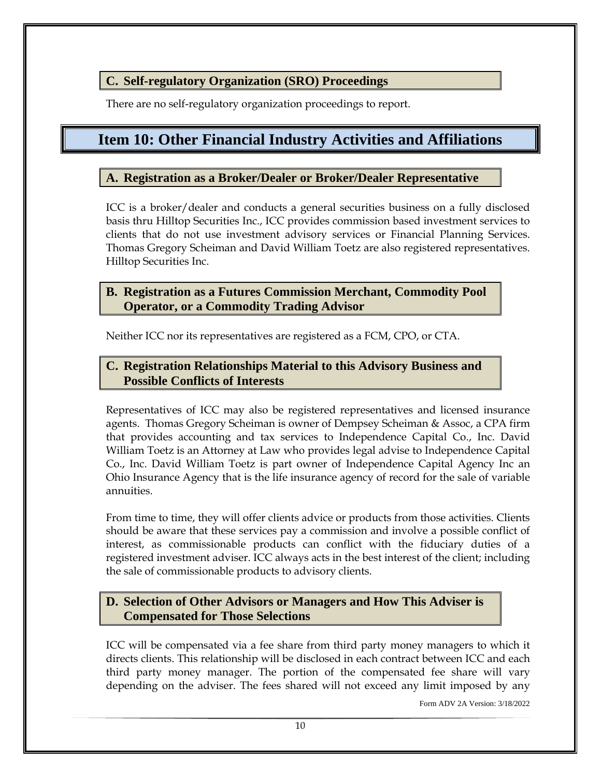#### <span id="page-14-0"></span>**C. Self-regulatory Organization (SRO) Proceedings**

There are no self-regulatory organization proceedings to report.

## <span id="page-14-1"></span>**Item 10: Other Financial Industry Activities and Affiliations**

#### <span id="page-14-2"></span>**A. Registration as a Broker/Dealer or Broker/Dealer Representative**

ICC is a broker/dealer and conducts a general securities business on a fully disclosed basis thru Hilltop Securities Inc., ICC provides commission based investment services to clients that do not use investment advisory services or Financial Planning Services. Thomas Gregory Scheiman and David William Toetz are also registered representatives. Hilltop Securities Inc.

#### <span id="page-14-3"></span>**B. Registration as a Futures Commission Merchant, Commodity Pool Operator, or a Commodity Trading Advisor**

Neither ICC nor its representatives are registered as a FCM, CPO, or CTA.

#### <span id="page-14-4"></span>**C. Registration Relationships Material to this Advisory Business and Possible Conflicts of Interests**

Representatives of ICC may also be registered representatives and licensed insurance agents. Thomas Gregory Scheiman is owner of Dempsey Scheiman & Assoc, a CPA firm that provides accounting and tax services to Independence Capital Co., Inc. David William Toetz is an Attorney at Law who provides legal advise to Independence Capital Co., Inc. David William Toetz is part owner of Independence Capital Agency Inc an Ohio Insurance Agency that is the life insurance agency of record for the sale of variable annuities.

From time to time, they will offer clients advice or products from those activities. Clients should be aware that these services pay a commission and involve a possible conflict of interest, as commissionable products can conflict with the fiduciary duties of a registered investment adviser. ICC always acts in the best interest of the client; including the sale of commissionable products to advisory clients.

#### <span id="page-14-5"></span>**D. Selection of Other Advisors or Managers and How This Adviser is Compensated for Those Selections**

ICC will be compensated via a fee share from third party money managers to which it directs clients. This relationship will be disclosed in each contract between ICC and each third party money manager. The portion of the compensated fee share will vary depending on the adviser. The fees shared will not exceed any limit imposed by any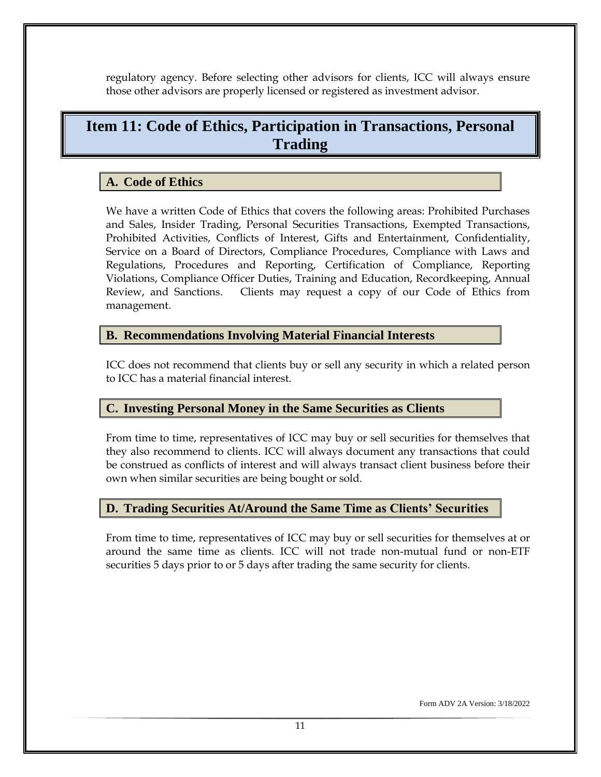regulatory agency. Before selecting other advisors for clients, ICC will always ensure those other advisors are properly licensed or registered as investment advisor.

# <span id="page-15-0"></span>**Item 11: Code of Ethics, Participation in Transactions, Personal Trading**

#### <span id="page-15-1"></span>**A. Code of Ethics**

We have a written Code of Ethics that covers the following areas: Prohibited Purchases and Sales, Insider Trading, Personal Securities Transactions, Exempted Transactions, Prohibited Activities, Conflicts of Interest, Gifts and Entertainment, Confidentiality, Service on a Board of Directors, Compliance Procedures, Compliance with Laws and Regulations, Procedures and Reporting, Certification of Compliance, Reporting Violations, Compliance Officer Duties, Training and Education, Recordkeeping, Annual Review, and Sanctions. Clients may request a copy of our Code of Ethics from management.

#### <span id="page-15-2"></span>**B. Recommendations Involving Material Financial Interests**

ICC does not recommend that clients buy or sell any security in which a related person to ICC has a material financial interest.

#### <span id="page-15-3"></span>**C. Investing Personal Money in the Same Securities as Clients**

From time to time, representatives of ICC may buy or sell securities for themselves that they also recommend to clients. ICC will always document any transactions that could be construed as conflicts of interest and will always transact client business before their own when similar securities are being bought or sold.

#### <span id="page-15-4"></span>**D. Trading Securities At/Around the Same Time as Clients' Securities**

From time to time, representatives of ICC may buy or sell securities for themselves at or around the same time as clients. ICC will not trade non-mutual fund or non-ETF securities 5 days prior to or 5 days after trading the same security for clients.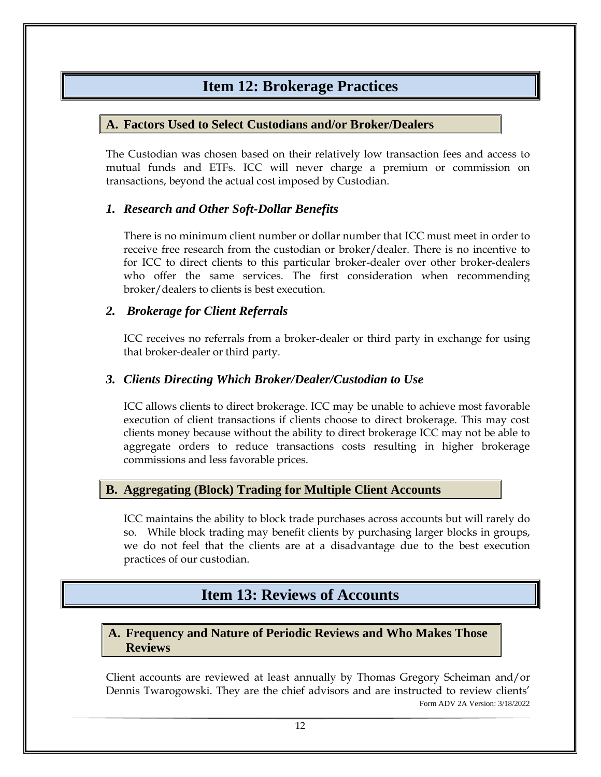## **Item 12: Brokerage Practices**

#### <span id="page-16-1"></span><span id="page-16-0"></span>**A. Factors Used to Select Custodians and/or Broker/Dealers**

The Custodian was chosen based on their relatively low transaction fees and access to mutual funds and ETFs. ICC will never charge a premium or commission on transactions, beyond the actual cost imposed by Custodian.

#### <span id="page-16-2"></span>*1. Research and Other Soft-Dollar Benefits*

There is no minimum client number or dollar number that ICC must meet in order to receive free research from the custodian or broker/dealer. There is no incentive to for ICC to direct clients to this particular broker-dealer over other broker-dealers who offer the same services. The first consideration when recommending broker/dealers to clients is best execution.

#### <span id="page-16-3"></span>*2. Brokerage for Client Referrals*

ICC receives no referrals from a broker-dealer or third party in exchange for using that broker-dealer or third party.

#### <span id="page-16-4"></span>*3. Clients Directing Which Broker/Dealer/Custodian to Use*

ICC allows clients to direct brokerage. ICC may be unable to achieve most favorable execution of client transactions if clients choose to direct brokerage. This may cost clients money because without the ability to direct brokerage ICC may not be able to aggregate orders to reduce transactions costs resulting in higher brokerage commissions and less favorable prices.

#### <span id="page-16-5"></span>**B. Aggregating (Block) Trading for Multiple Client Accounts**

ICC maintains the ability to block trade purchases across accounts but will rarely do so. While block trading may benefit clients by purchasing larger blocks in groups, we do not feel that the clients are at a disadvantage due to the best execution practices of our custodian.

## **Item 13: Reviews of Accounts**

#### <span id="page-16-7"></span><span id="page-16-6"></span>**A. Frequency and Nature of Periodic Reviews and Who Makes Those Reviews**

Form ADV 2A Version: 3/18/2022 Client accounts are reviewed at least annually by Thomas Gregory Scheiman and/or Dennis Twarogowski. They are the chief advisors and are instructed to review clients'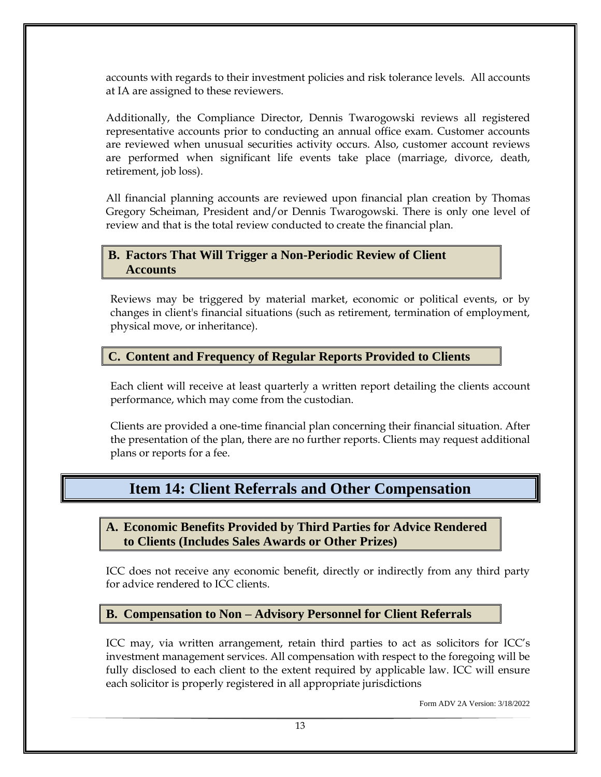accounts with regards to their investment policies and risk tolerance levels. All accounts at IA are assigned to these reviewers.

Additionally, the Compliance Director, Dennis Twarogowski reviews all registered representative accounts prior to conducting an annual office exam. Customer accounts are reviewed when unusual securities activity occurs. Also, customer account reviews are performed when significant life events take place (marriage, divorce, death, retirement, job loss).

All financial planning accounts are reviewed upon financial plan creation by Thomas Gregory Scheiman, President and/or Dennis Twarogowski. There is only one level of review and that is the total review conducted to create the financial plan.

#### <span id="page-17-0"></span>**B. Factors That Will Trigger a Non-Periodic Review of Client Accounts**

Reviews may be triggered by material market, economic or political events, or by changes in client's financial situations (such as retirement, termination of employment, physical move, or inheritance).

#### <span id="page-17-1"></span>**C. Content and Frequency of Regular Reports Provided to Clients**

Each client will receive at least quarterly a written report detailing the clients account performance, which may come from the custodian.

Clients are provided a one-time financial plan concerning their financial situation. After the presentation of the plan, there are no further reports. Clients may request additional plans or reports for a fee.

## **Item 14: Client Referrals and Other Compensation**

#### <span id="page-17-3"></span><span id="page-17-2"></span>**A. Economic Benefits Provided by Third Parties for Advice Rendered to Clients (Includes Sales Awards or Other Prizes)**

ICC does not receive any economic benefit, directly or indirectly from any third party for advice rendered to ICC clients.

#### <span id="page-17-4"></span>**B. Compensation to Non – Advisory Personnel for Client Referrals**

ICC may, via written arrangement, retain third parties to act as solicitors for ICC's investment management services. All compensation with respect to the foregoing will be fully disclosed to each client to the extent required by applicable law. ICC will ensure each solicitor is properly registered in all appropriate jurisdictions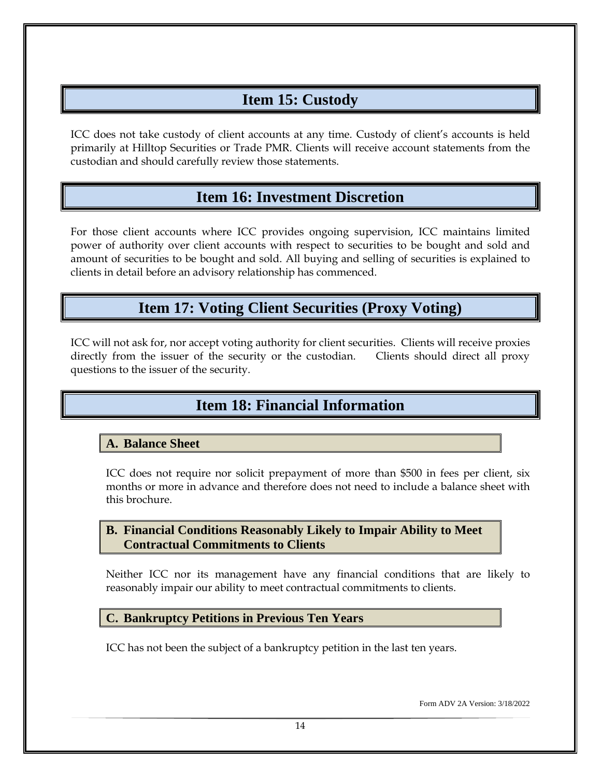# **Item 15: Custody**

<span id="page-18-0"></span>ICC does not take custody of client accounts at any time. Custody of client's accounts is held primarily at Hilltop Securities or Trade PMR. Clients will receive account statements from the custodian and should carefully review those statements.

## **Item 16: Investment Discretion**

<span id="page-18-1"></span>For those client accounts where ICC provides ongoing supervision, ICC maintains limited power of authority over client accounts with respect to securities to be bought and sold and amount of securities to be bought and sold. All buying and selling of securities is explained to clients in detail before an advisory relationship has commenced.

# **Item 17: Voting Client Securities (Proxy Voting)**

<span id="page-18-3"></span><span id="page-18-2"></span>ICC will not ask for, nor accept voting authority for client securities. Clients will receive proxies directly from the issuer of the security or the custodian. Clients should direct all proxy questions to the issuer of the security.

# **Item 18: Financial Information**

#### <span id="page-18-4"></span>**A. Balance Sheet**

ICC does not require nor solicit prepayment of more than \$500 in fees per client, six months or more in advance and therefore does not need to include a balance sheet with this brochure.

#### <span id="page-18-5"></span>**B. Financial Conditions Reasonably Likely to Impair Ability to Meet Contractual Commitments to Clients**

Neither ICC nor its management have any financial conditions that are likely to reasonably impair our ability to meet contractual commitments to clients.

#### <span id="page-18-6"></span>**C. Bankruptcy Petitions in Previous Ten Years**

ICC has not been the subject of a bankruptcy petition in the last ten years.